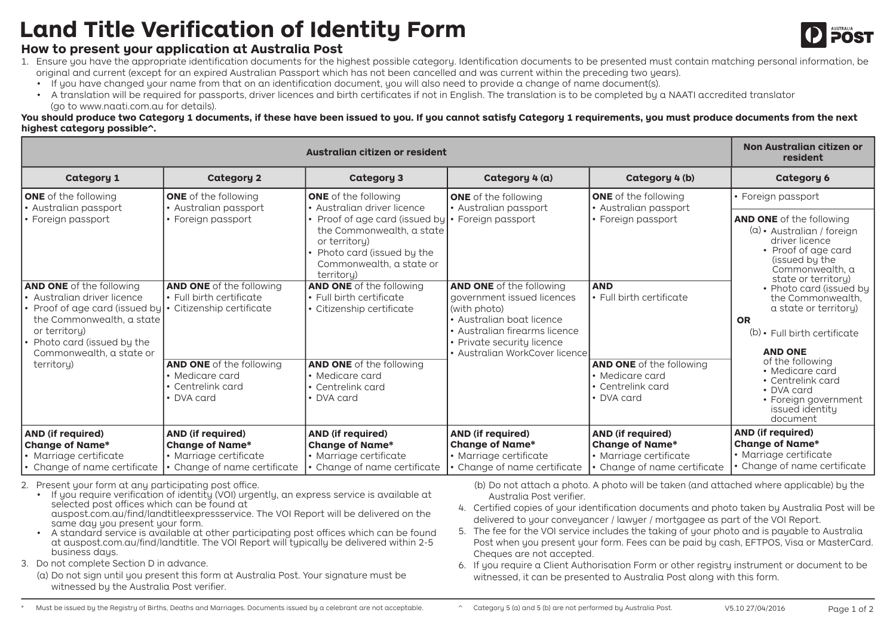## **Land Title Verification of Identity Form**

## **How to present your application at Australia Post**



- 1. Ensure you have the appropriate identification documents for the highest possible category. Identification documents to be presented must contain matching personal information, be original and current (except for an expired Australian Passport which has not been cancelled and was current within the preceding two years).
	- If you have changed your name from that on an identification document, you will also need to provide a change of name document(s).
	- A translation will be required for passports, driver licences and birth certificates if not in English. The translation is to be completed by a NAATI accredited translator (go to www.naati.com.au for details).

**You should produce two Category 1 documents, if these have been issued to you. If you cannot satisfy Category 1 requirements, you must produce documents from the next highest category possible^.** 

|                                                                                                                                                                                                               | Non Australian citizen or<br>resident                                                                      |                                                                                                                                                                                                                 |                                                                                                                                                                                                             |                                                                                                              |                                                                                                                                                                     |  |  |  |
|---------------------------------------------------------------------------------------------------------------------------------------------------------------------------------------------------------------|------------------------------------------------------------------------------------------------------------|-----------------------------------------------------------------------------------------------------------------------------------------------------------------------------------------------------------------|-------------------------------------------------------------------------------------------------------------------------------------------------------------------------------------------------------------|--------------------------------------------------------------------------------------------------------------|---------------------------------------------------------------------------------------------------------------------------------------------------------------------|--|--|--|
| <b>Category 1</b>                                                                                                                                                                                             | <b>Category 2</b>                                                                                          | <b>Category 3</b>                                                                                                                                                                                               | Category 4 (a)                                                                                                                                                                                              | Category 4 (b)                                                                                               | <b>Category 6</b>                                                                                                                                                   |  |  |  |
| <b>ONE</b> of the following<br>• Australian passport<br>• Foreign passport                                                                                                                                    | <b>ONE</b> of the following<br>• Australian passport<br>• Foreign passport                                 | <b>ONE</b> of the following<br>• Australian driver licence<br>Proof of age card (issued by<br>the Commonwealth, a state<br>or territory)<br>Photo card (issued by the<br>Commonwealth, a state or<br>territoru) | <b>ONE</b> of the following<br>· Australian passport<br>• Foreign passport                                                                                                                                  | <b>ONE</b> of the following<br>· Australian passport<br>• Foreign passport                                   | • Foreign passport<br><b>AND ONE</b> of the following<br>$(a)$ • Australian / foreign<br>driver licence<br>• Proof of age card<br>(issued by the<br>Commonwealth, a |  |  |  |
| <b>AND ONE</b> of the following<br>$\bullet$ Australian driver licence<br>Proof of age card (issued by<br>the Commonwealth, a state<br>or territory)<br>Photo card (issued by the<br>Commonwealth, a state or | <b>AND ONE</b> of the following<br>• Full birth certificate<br>• Citizenship certificate                   | <b>AND ONE</b> of the following<br>$\cdot$ Full birth certificate<br>• Citizenship certificate                                                                                                                  | <b>AND ONE</b> of the following<br>government issued licences<br>(with photo)<br>• Australian boat licence<br>• Australian firearms licence<br>• Private security licence<br>• Australian WorkCover licence | <b>AND</b><br>• Full birth certificate                                                                       | state or territory)<br>• Photo card (issued by<br>the Commonwealth.<br>a state or territory)<br><b>OR</b><br>$(b)$ Full birth certificate<br><b>AND ONE</b>         |  |  |  |
| territory)                                                                                                                                                                                                    | <b>AND ONE</b> of the following<br>• Medicare card<br>$\bullet$ Centrelink card<br>• DVA card              | <b>AND ONE</b> of the following<br>• Medicare card<br>• Centrelink card<br>• DVA card                                                                                                                           |                                                                                                                                                                                                             | <b>AND ONE</b> of the following<br>$\bullet$ Medicare card<br>• Centrelink card<br>• DVA card                | of the following<br>• Medicare card<br>• Centrelink card<br>• DVA card<br>• Foreign government<br>issued identity<br>document                                       |  |  |  |
| <b>AND (if required)</b><br><b>Change of Name*</b><br>· Marriage certificate<br>• Change of name certificate                                                                                                  | <b>AND (if required)</b><br><b>Change of Name*</b><br>· Marriage certificate<br>Change of name certificate | AND (if required)<br><b>Change of Name*</b><br>· Marriage certificate<br>Change of name certificate                                                                                                             | AND (if required)<br><b>Change of Name*</b><br>· Marriage certificate<br>Change of name certificate                                                                                                         | <b>AND (if required)</b><br><b>Change of Name*</b><br>· Marriage certificate<br>· Change of name certificate | <b>AND (if required)</b><br><b>Change of Name*</b><br>· Marriage certificate<br>Change of name certificate                                                          |  |  |  |

2. Present your form at any participating post office.

• If you require verification of identity (VOI) urgently, an express service is available at selected post offices which can be found at auspost.com.au/find/landtitleexpressservice. The VOI Report will be delivered on the

same day you present your form.

- A standard service is available at other participating post offices which can be found at auspost.com.au/find/landtitle. The VOI Report will typically be delivered within 2-5 business days.
- 3. Do not complete Section D in advance.
	- (a) Do not sign until you present this form at Australia Post. Your signature must be witnessed by the Australia Post verifier.

(b) Do not attach a photo. A photo will be taken (and attached where applicable) by the Australia Post verifier.

- 4. Certified copies of your identification documents and photo taken by Australia Post will be delivered to your conveyancer / lawyer / mortgagee as part of the VOI Report.
- 5. The fee for the VOI service includes the taking of your photo and is payable to Australia Post when you present your form. Fees can be paid by cash, EFTPOS, Visa or MasterCard. Cheques are not accepted.

6. If you require a Client Authorisation Form or other registry instrument or document to be witnessed, it can be presented to Australia Post along with this form.